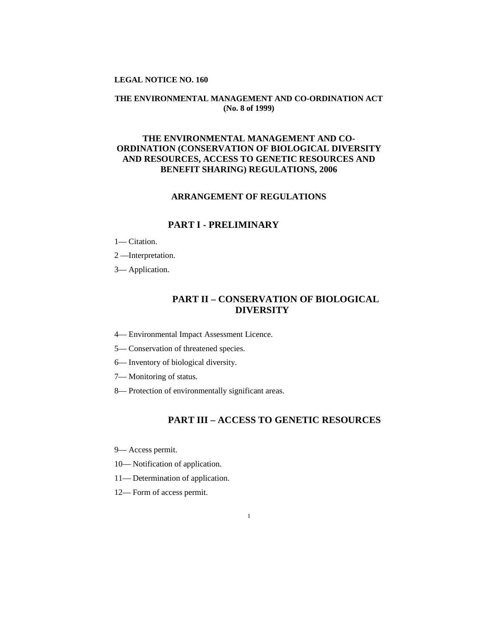## **LEGAL NOTICE NO. 160**

## **THE ENVIRONMENTAL MANAGEMENT AND CO-ORDINATION ACT (No. 8 of 1999)**

# **THE ENVIRONMENTAL MANAGEMENT AND CO-ORDINATION (CONSERVATION OF BIOLOGICAL DIVERSITY AND RESOURCES, ACCESS TO GENETIC RESOURCES AND BENEFIT SHARING) REGULATIONS, 2006**

## **ARRANGEMENT OF REGULATIONS**

## **PART I - PRELIMINARY**

- 1— Citation.
- 2 —Interpretation.
- 3— Application.

# **PART II – CONSERVATION OF BIOLOGICAL DIVERSITY**

- 4— Environmental Impact Assessment Licence.
- 5— Conservation of threatened species.
- 6— Inventory of biological diversity.
- 7— Monitoring of status.
- 8— Protection of environmentally significant areas.

# **PART III – ACCESS TO GENETIC RESOURCES**

- 9— Access permit.
- 10— Notification of application.
- 11— Determination of application.
- 12— Form of access permit.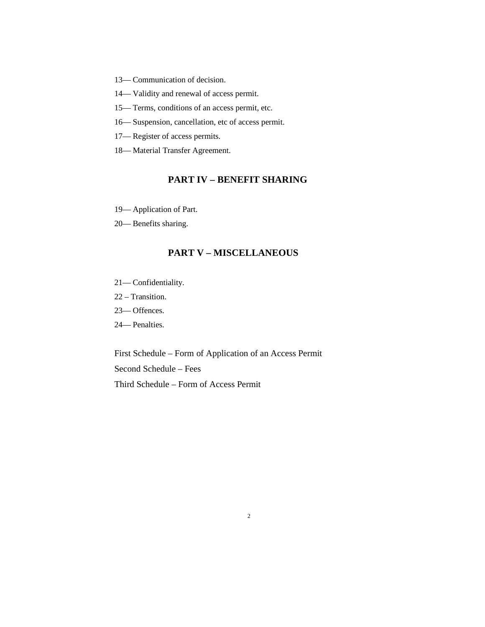- 13— Communication of decision.
- 14— Validity and renewal of access permit.
- 15— Terms, conditions of an access permit, etc.
- 16— Suspension, cancellation, etc of access permit.
- 17— Register of access permits.
- 18— Material Transfer Agreement.

# **PART IV – BENEFIT SHARING**

- 19— Application of Part.
- 20— Benefits sharing.

## **PART V – MISCELLANEOUS**

- 21— Confidentiality.
- 22 Transition.
- 23— Offences.
- 24— Penalties.

First Schedule – Form of Application of an Access Permit Second Schedule – Fees Third Schedule – Form of Access Permit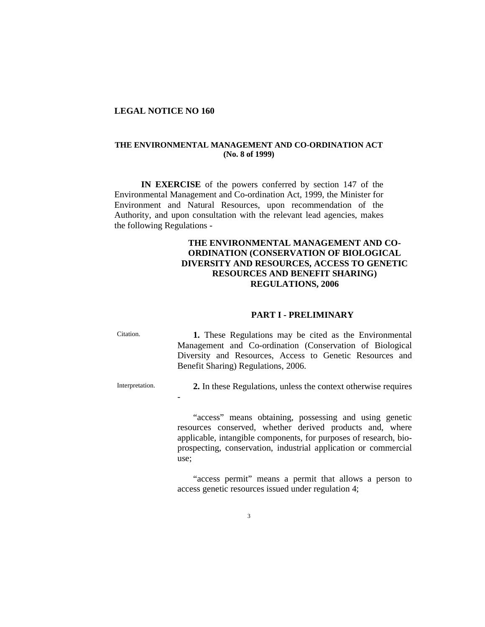## **LEGAL NOTICE NO 160**

-

## **THE ENVIRONMENTAL MANAGEMENT AND CO-ORDINATION ACT (No. 8 of 1999)**

**IN EXERCISE** of the powers conferred by section 147 of the Environmental Management and Co-ordination Act, 1999, the Minister for Environment and Natural Resources, upon recommendation of the Authority, and upon consultation with the relevant lead agencies, makes the following Regulations -

## **THE ENVIRONMENTAL MANAGEMENT AND CO-ORDINATION (CONSERVATION OF BIOLOGICAL DIVERSITY AND RESOURCES, ACCESS TO GENETIC RESOURCES AND BENEFIT SHARING) REGULATIONS, 2006**

### **PART I - PRELIMINARY**

| Citation. | 1. These Regulations may be cited as the Environmental   |
|-----------|----------------------------------------------------------|
|           | Management and Co-ordination (Conservation of Biological |
|           | Diversity and Resources, Access to Genetic Resources and |
|           | Benefit Sharing) Regulations, 2006.                      |
|           |                                                          |

Interpretation. **2.** In these Regulations, unless the context otherwise requires

"access" means obtaining, possessing and using genetic resources conserved, whether derived products and, where applicable, intangible components, for purposes of research, bioprospecting, conservation, industrial application or commercial use;

"access permit" means a permit that allows a person to access genetic resources issued under regulation 4;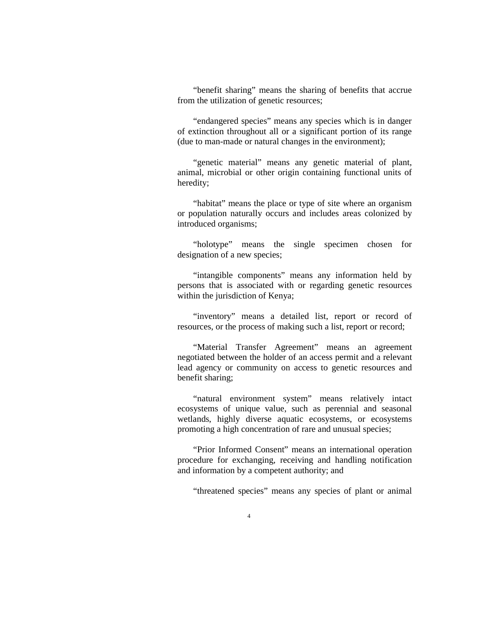"benefit sharing" means the sharing of benefits that accrue from the utilization of genetic resources;

"endangered species" means any species which is in danger of extinction throughout all or a significant portion of its range (due to man-made or natural changes in the environment);

"genetic material" means any genetic material of plant, animal, microbial or other origin containing functional units of heredity;

"habitat" means the place or type of site where an organism or population naturally occurs and includes areas colonized by introduced organisms;

"holotype" means the single specimen chosen for designation of a new species;

"intangible components" means any information held by persons that is associated with or regarding genetic resources within the jurisdiction of Kenya;

"inventory" means a detailed list, report or record of resources, or the process of making such a list, report or record;

"Material Transfer Agreement" means an agreement negotiated between the holder of an access permit and a relevant lead agency or community on access to genetic resources and benefit sharing;

"natural environment system" means relatively intact ecosystems of unique value, such as perennial and seasonal wetlands, highly diverse aquatic ecosystems, or ecosystems promoting a high concentration of rare and unusual species;

"Prior Informed Consent" means an international operation procedure for exchanging, receiving and handling notification and information by a competent authority; and

"threatened species" means any species of plant or animal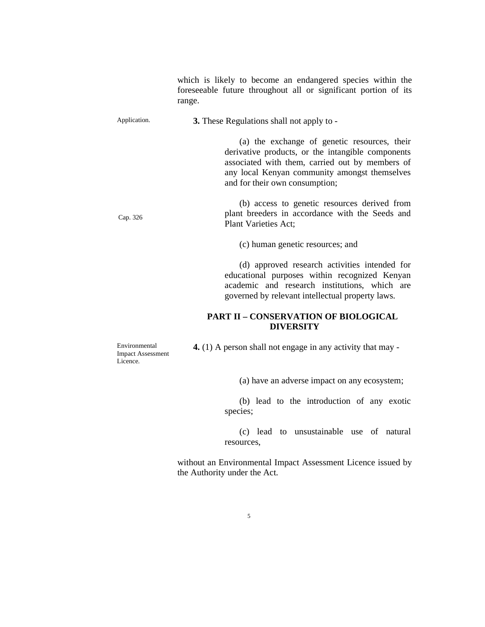which is likely to become an endangered species within the foreseeable future throughout all or significant portion of its range.

Application. **3.** These Regulations shall not apply to -

 (a) the exchange of genetic resources, their derivative products, or the intangible components associated with them, carried out by members of any local Kenyan community amongst themselves and for their own consumption;

Cap. 326 (b) access to genetic resources derived from plant breeders in accordance with the Seeds and Plant Varieties Act;

(c) human genetic resources; and

 (d) approved research activities intended for educational purposes within recognized Kenyan academic and research institutions, which are governed by relevant intellectual property laws.

## **PART II – CONSERVATION OF BIOLOGICAL DIVERSITY**

Environmental Impact Assessment Licence.

**4.** (1) A person shall not engage in any activity that may -

(a) have an adverse impact on any ecosystem;

 (b) lead to the introduction of any exotic species;

 (c) lead to unsustainable use of natural resources,

without an Environmental Impact Assessment Licence issued by the Authority under the Act.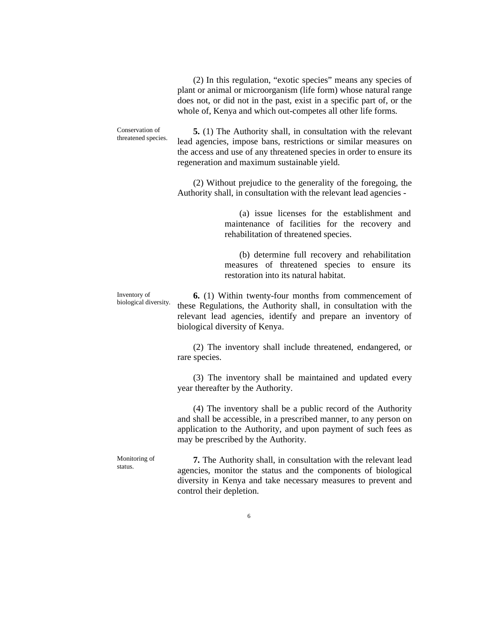(2) In this regulation, "exotic species" means any species of plant or animal or microorganism (life form) whose natural range does not, or did not in the past, exist in a specific part of, or the whole of, Kenya and which out-competes all other life forms.

Conservation of threatened species. **5.** (1) The Authority shall, in consultation with the relevant lead agencies, impose bans, restrictions or similar measures on the access and use of any threatened species in order to ensure its regeneration and maximum sustainable yield.

> (2) Without prejudice to the generality of the foregoing, the Authority shall, in consultation with the relevant lead agencies -

> > (a) issue licenses for the establishment and maintenance of facilities for the recovery and rehabilitation of threatened species.

> > (b) determine full recovery and rehabilitation measures of threatened species to ensure its restoration into its natural habitat.

Inventory of biological diversity.

**6.** (1) Within twenty-four months from commencement of these Regulations, the Authority shall, in consultation with the relevant lead agencies, identify and prepare an inventory of biological diversity of Kenya.

(2) The inventory shall include threatened, endangered, or rare species.

(3) The inventory shall be maintained and updated every year thereafter by the Authority.

(4) The inventory shall be a public record of the Authority and shall be accessible, in a prescribed manner, to any person on application to the Authority, and upon payment of such fees as may be prescribed by the Authority.

Monitoring of status.

**7.** The Authority shall, in consultation with the relevant lead agencies, monitor the status and the components of biological diversity in Kenya and take necessary measures to prevent and control their depletion.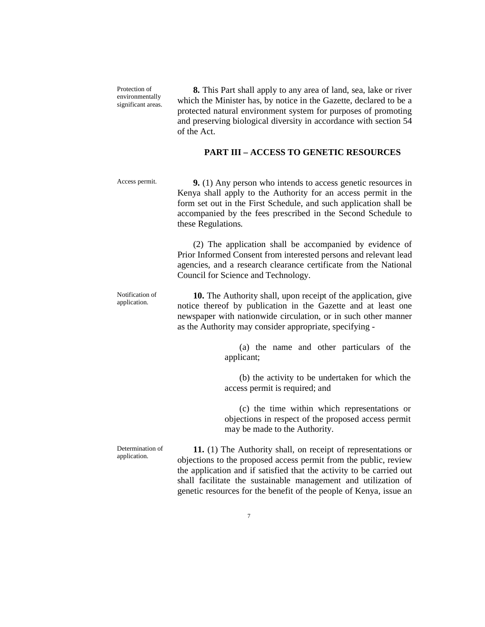Protection of environmentally significant areas.

**8.** This Part shall apply to any area of land, sea, lake or river which the Minister has, by notice in the Gazette, declared to be a protected natural environment system for purposes of promoting and preserving biological diversity in accordance with section 54 of the Act.

## **PART III – ACCESS TO GENETIC RESOURCES**

Access permit. **9.** (1) Any person who intends to access genetic resources in Kenya shall apply to the Authority for an access permit in the form set out in the First Schedule, and such application shall be accompanied by the fees prescribed in the Second Schedule to these Regulations.

> (2) The application shall be accompanied by evidence of Prior Informed Consent from interested persons and relevant lead agencies, and a research clearance certificate from the National Council for Science and Technology.

Notification of application. **10.** The Authority shall, upon receipt of the application, give notice thereof by publication in the Gazette and at least one newspaper with nationwide circulation, or in such other manner as the Authority may consider appropriate, specifying -

> (a) the name and other particulars of the applicant;

> (b) the activity to be undertaken for which the access permit is required; and

> (c) the time within which representations or objections in respect of the proposed access permit may be made to the Authority.

Determination of application.

**11.** (1) The Authority shall, on receipt of representations or objections to the proposed access permit from the public, review the application and if satisfied that the activity to be carried out shall facilitate the sustainable management and utilization of genetic resources for the benefit of the people of Kenya, issue an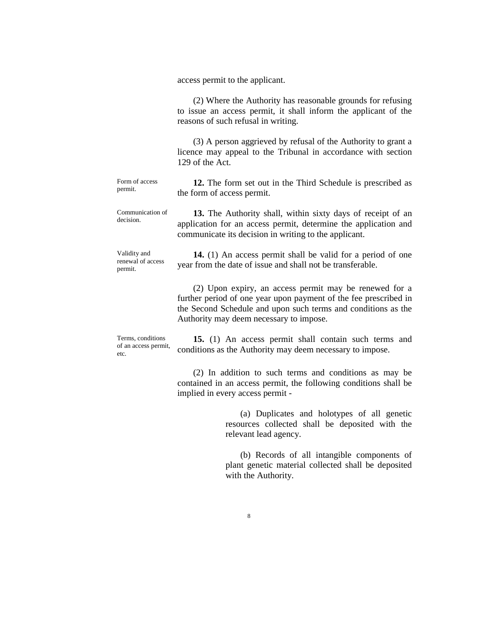access permit to the applicant.

(2) Where the Authority has reasonable grounds for refusing to issue an access permit, it shall inform the applicant of the reasons of such refusal in writing. (3) A person aggrieved by refusal of the Authority to grant a licence may appeal to the Tribunal in accordance with section 129 of the Act. Form of access permit. **12.** The form set out in the Third Schedule is prescribed as the form of access permit. Communication of decision. **13.** The Authority shall, within sixty days of receipt of an application for an access permit, determine the application and communicate its decision in writing to the applicant. Validity and renewal of access permit. **14.** (1) An access permit shall be valid for a period of one year from the date of issue and shall not be transferable. (2) Upon expiry, an access permit may be renewed for a further period of one year upon payment of the fee prescribed in the Second Schedule and upon such terms and conditions as the Authority may deem necessary to impose. Terms, conditions of an access permit, etc. **15.** (1) An access permit shall contain such terms and conditions as the Authority may deem necessary to impose. (2) In addition to such terms and conditions as may be contained in an access permit, the following conditions shall be

> implied in every access permit - (a) Duplicates and holotypes of all genetic resources collected shall be deposited with the

> > (b) Records of all intangible components of plant genetic material collected shall be deposited with the Authority.

relevant lead agency.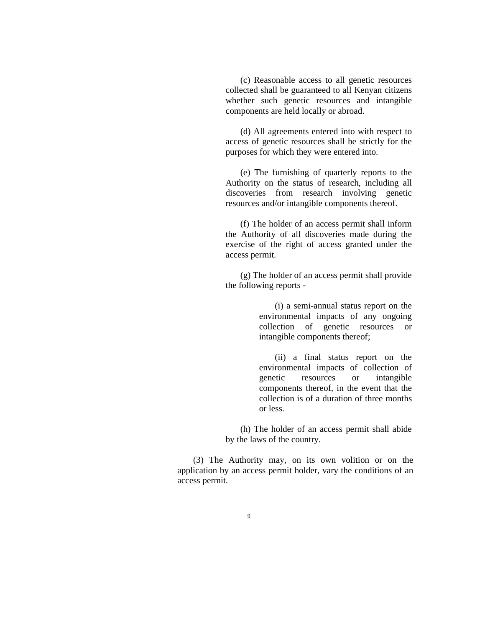(c) Reasonable access to all genetic resources collected shall be guaranteed to all Kenyan citizens whether such genetic resources and intangible components are held locally or abroad.

 (d) All agreements entered into with respect to access of genetic resources shall be strictly for the purposes for which they were entered into.

 (e) The furnishing of quarterly reports to the Authority on the status of research, including all discoveries from research involving genetic resources and/or intangible components thereof.

 (f) The holder of an access permit shall inform the Authority of all discoveries made during the exercise of the right of access granted under the access permit.

 (g) The holder of an access permit shall provide the following reports -

> (i) a semi-annual status report on the environmental impacts of any ongoing collection of genetic resources or intangible components thereof;

> (ii) a final status report on the environmental impacts of collection of genetic resources or intangible components thereof, in the event that the collection is of a duration of three months or less.

 (h) The holder of an access permit shall abide by the laws of the country.

(3) The Authority may, on its own volition or on the application by an access permit holder, vary the conditions of an access permit.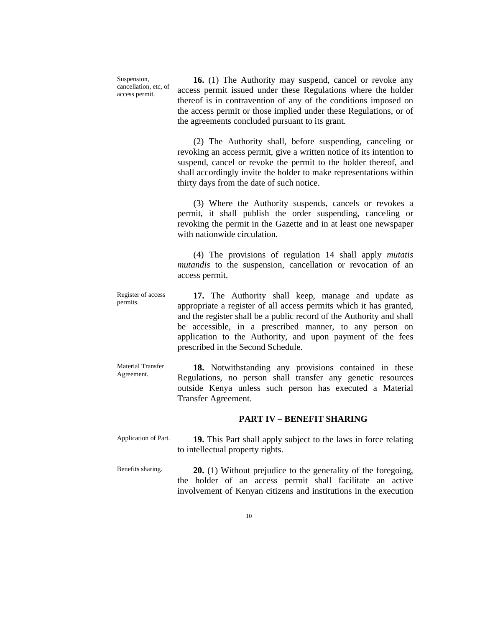Suspension, cancellation, etc, of access permit.

**16.** (1) The Authority may suspend, cancel or revoke any access permit issued under these Regulations where the holder thereof is in contravention of any of the conditions imposed on the access permit or those implied under these Regulations, or of the agreements concluded pursuant to its grant.

(2) The Authority shall, before suspending, canceling or revoking an access permit, give a written notice of its intention to suspend, cancel or revoke the permit to the holder thereof, and shall accordingly invite the holder to make representations within thirty days from the date of such notice.

(3) Where the Authority suspends, cancels or revokes a permit, it shall publish the order suspending, canceling or revoking the permit in the Gazette and in at least one newspaper with nationwide circulation.

(4) The provisions of regulation 14 shall apply *mutatis mutandis* to the suspension, cancellation or revocation of an access permit.

Register of access permits. **17.** The Authority shall keep, manage and update as appropriate a register of all access permits which it has granted, and the register shall be a public record of the Authority and shall be accessible, in a prescribed manner, to any person on application to the Authority, and upon payment of the fees prescribed in the Second Schedule.

Material Transfer Agreement. **18.** Notwithstanding any provisions contained in these Regulations, no person shall transfer any genetic resources outside Kenya unless such person has executed a Material Transfer Agreement.

### **PART IV – BENEFIT SHARING**

- Application of Part. **19.** This Part shall apply subject to the laws in force relating to intellectual property rights.
- Benefits sharing. **20.** (1) Without prejudice to the generality of the foregoing, the holder of an access permit shall facilitate an active involvement of Kenyan citizens and institutions in the execution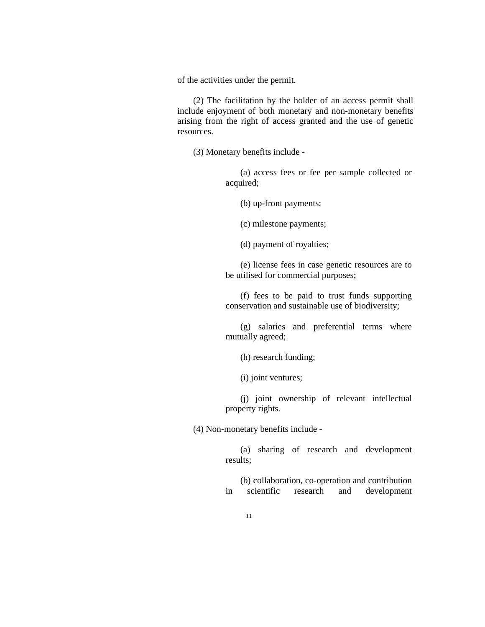of the activities under the permit.

(2) The facilitation by the holder of an access permit shall include enjoyment of both monetary and non-monetary benefits arising from the right of access granted and the use of genetic resources.

(3) Monetary benefits include -

 (a) access fees or fee per sample collected or acquired;

(b) up-front payments;

(c) milestone payments;

(d) payment of royalties;

 (e) license fees in case genetic resources are to be utilised for commercial purposes;

 (f) fees to be paid to trust funds supporting conservation and sustainable use of biodiversity;

 (g) salaries and preferential terms where mutually agreed;

(h) research funding;

(i) joint ventures;

 (j) joint ownership of relevant intellectual property rights.

(4) Non-monetary benefits include -

 (a) sharing of research and development results;

 (b) collaboration, co-operation and contribution in scientific research and development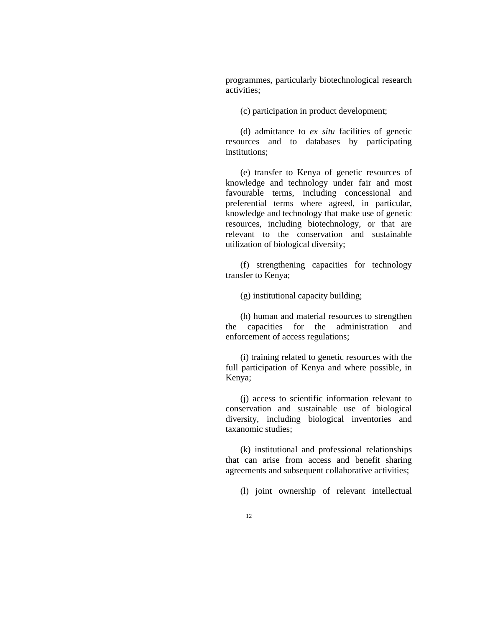programmes, particularly biotechnological research activities;

(c) participation in product development;

 (d) admittance to *ex situ* facilities of genetic resources and to databases by participating institutions;

 (e) transfer to Kenya of genetic resources of knowledge and technology under fair and most favourable terms, including concessional and preferential terms where agreed, in particular, knowledge and technology that make use of genetic resources, including biotechnology, or that are relevant to the conservation and sustainable utilization of biological diversity;

 (f) strengthening capacities for technology transfer to Kenya;

(g) institutional capacity building;

 (h) human and material resources to strengthen the capacities for the administration and enforcement of access regulations;

 (i) training related to genetic resources with the full participation of Kenya and where possible, in Kenya;

 (j) access to scientific information relevant to conservation and sustainable use of biological diversity, including biological inventories and taxanomic studies;

 (k) institutional and professional relationships that can arise from access and benefit sharing agreements and subsequent collaborative activities;

(l) joint ownership of relevant intellectual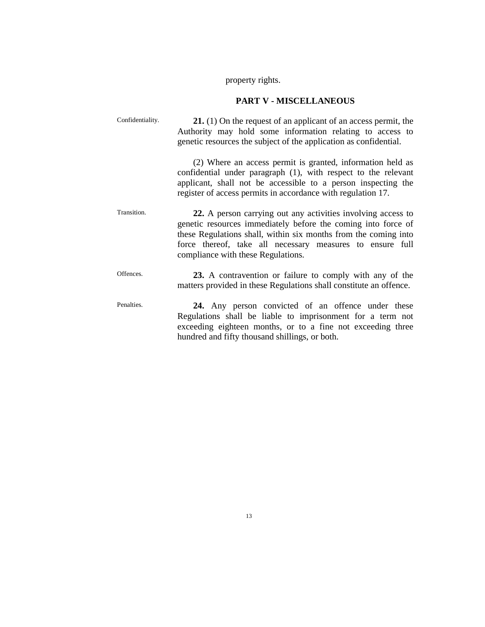property rights.

# **PART V - MISCELLANEOUS**

| Confidentiality. | <b>21.</b> (1) On the request of an applicant of an access permit, the<br>Authority may hold some information relating to access to<br>genetic resources the subject of the application as confidential.                                                                                            |
|------------------|-----------------------------------------------------------------------------------------------------------------------------------------------------------------------------------------------------------------------------------------------------------------------------------------------------|
|                  | (2) Where an access permit is granted, information held as<br>confidential under paragraph (1), with respect to the relevant<br>applicant, shall not be accessible to a person inspecting the<br>register of access permits in accordance with regulation 17.                                       |
| Transition.      | 22. A person carrying out any activities involving access to<br>genetic resources immediately before the coming into force of<br>these Regulations shall, within six months from the coming into<br>force thereof, take all necessary measures to ensure full<br>compliance with these Regulations. |
| Offences.        | 23. A contravention or failure to comply with any of the<br>matters provided in these Regulations shall constitute an offence.                                                                                                                                                                      |
| Penalties.       | 24. Any person convicted of an offence under these<br>Regulations shall be liable to imprisonment for a term not<br>exceeding eighteen months, or to a fine not exceeding three<br>hundred and fifty thousand shillings, or both.                                                                   |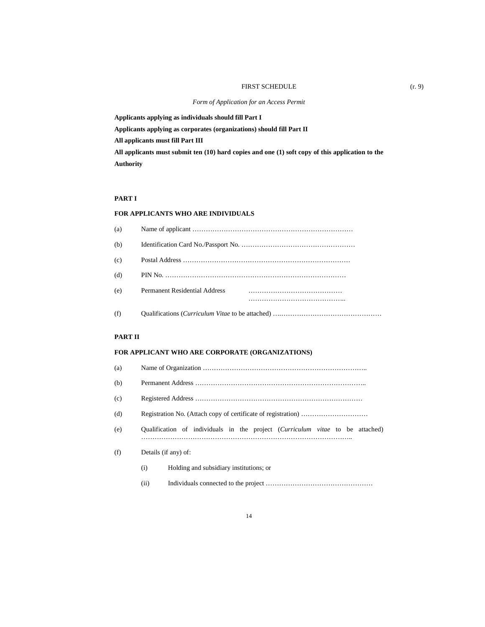#### FIRST SCHEDULE (r. 9)

**Applicants applying as individuals should fill Part I** 

**Applicants applying as corporates (organizations) should fill Part II** 

**All applicants must fill Part III** 

**All applicants must submit ten (10) hard copies and one (1) soft copy of this application to the Authority** 

### **PART I**

### **FOR APPLICANTS WHO ARE INDIVIDUALS**

| (a) |                               |  |
|-----|-------------------------------|--|
| (b) |                               |  |
| (c) |                               |  |
| (d) |                               |  |
| (e) | Permanent Residential Address |  |
|     |                               |  |

(f) Qualifications (*Curriculum Vitae* to be attached) ….………………………………………

#### **PART II**

### **FOR APPLICANT WHO ARE CORPORATE (ORGANIZATIONS)**

- (a) Name of Organization ……………………………………………………………….. (b) Permanent Address …………………………………………………………………..
- (c) Registered Address …………………………………………………………………
- (d) Registration No. (Attach copy of certificate of registration) …………………………
- (e) Qualification of individuals in the project (*Curriculum vitae* to be attached) …………………………………………………………………………………..
- (f) Details (if any) of:
	- (i) Holding and subsidiary institutions; or
	- (ii) Individuals connected to the project …………………………………………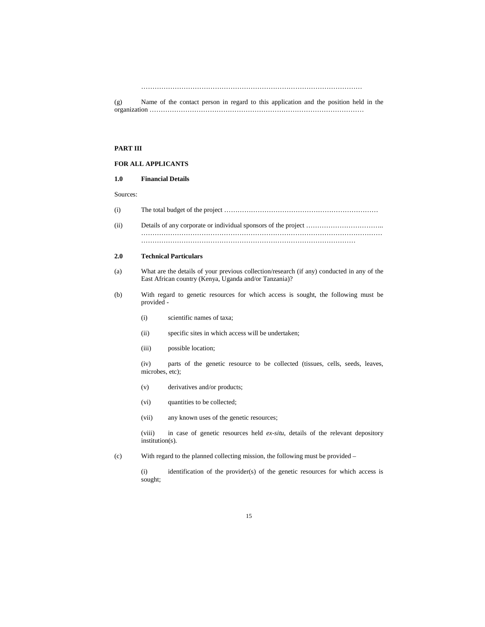………………………………………………………………………………………

(g) Name of the contact person in regard to this application and the position held in the organization ……………………………………………………………………………………

### **PART III**

### **FOR ALL APPLICANTS**

### **1.0 Financial Details**

#### Sources:

| (i)  |  |
|------|--|
| (ii) |  |
|      |  |

### **2.0 Technical Particulars**

- (a) What are the details of your previous collection/research (if any) conducted in any of the East African country (Kenya, Uganda and/or Tanzania)?
- (b) With regard to genetic resources for which access is sought, the following must be provided -
	- (i) scientific names of taxa;
	- (ii) specific sites in which access will be undertaken;
	- (iii) possible location;
	- (iv) parts of the genetic resource to be collected (tissues, cells, seeds, leaves, microbes, etc);
	- (v) derivatives and/or products;
	- (vi) quantities to be collected;
	- (vii) any known uses of the genetic resources;

 (viii) in case of genetic resources held *ex-situ*, details of the relevant depository institution(s).

(c) With regard to the planned collecting mission, the following must be provided –

 (i) identification of the provider(s) of the genetic resources for which access is sought;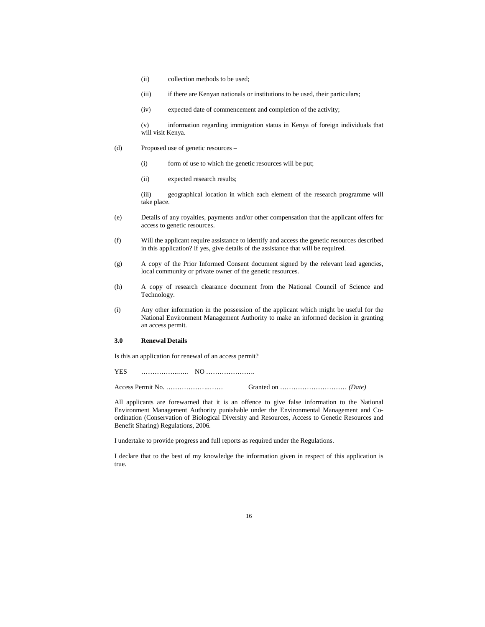- (ii) collection methods to be used;
- (iii) if there are Kenyan nationals or institutions to be used, their particulars;
- (iv) expected date of commencement and completion of the activity;

 (v) information regarding immigration status in Kenya of foreign individuals that will visit Kenya.

- (d) Proposed use of genetic resources
	- (i) form of use to which the genetic resources will be put;
	- (ii) expected research results;

 (iii) geographical location in which each element of the research programme will take place.

- (e) Details of any royalties, payments and/or other compensation that the applicant offers for access to genetic resources.
- (f) Will the applicant require assistance to identify and access the genetic resources described in this application? If yes, give details of the assistance that will be required.
- (g) A copy of the Prior Informed Consent document signed by the relevant lead agencies, local community or private owner of the genetic resources.
- (h) A copy of research clearance document from the National Council of Science and Technology.
- (i) Any other information in the possession of the applicant which might be useful for the National Environment Management Authority to make an informed decision in granting an access permit.

### **3.0 Renewal Details**

Is this an application for renewal of an access permit?

YES ……………..….. NO ………………….

Access Permit No. ………………..…… Granted on ………………………… *(Date)* 

All applicants are forewarned that it is an offence to give false information to the National Environment Management Authority punishable under the Environmental Management and Coordination (Conservation of Biological Diversity and Resources, Access to Genetic Resources and Benefit Sharing) Regulations, 2006.

I undertake to provide progress and full reports as required under the Regulations.

I declare that to the best of my knowledge the information given in respect of this application is true.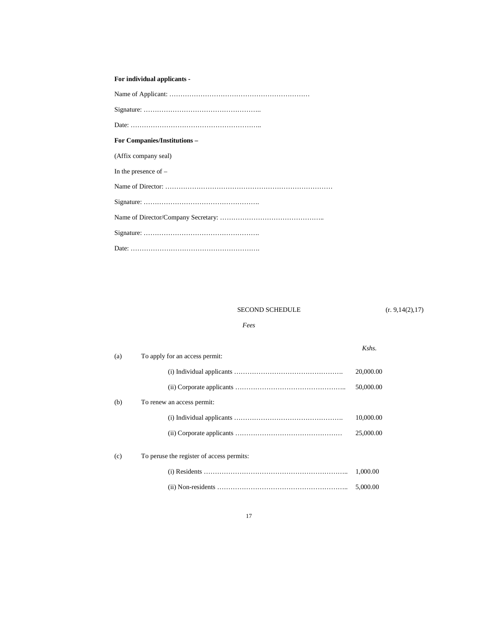## **For individual applicants -**

| <b>For Companies/Institutions –</b> |  |  |
|-------------------------------------|--|--|
| (Affix company seal)                |  |  |
| In the presence of $-$              |  |  |
|                                     |  |  |
|                                     |  |  |
|                                     |  |  |
|                                     |  |  |
|                                     |  |  |

SECOND SCHEDULE (r. 9,14(2),17)

## *Fees*

| (a) | To apply for an access permit:            | Kshs.     |
|-----|-------------------------------------------|-----------|
|     |                                           | 20,000.00 |
|     |                                           | 50,000.00 |
| (b) | To renew an access permit:                |           |
|     |                                           | 10,000.00 |
|     |                                           | 25,000.00 |
| (c) | To peruse the register of access permits: |           |
|     |                                           | 1.000.00  |
|     |                                           | 5,000.00  |